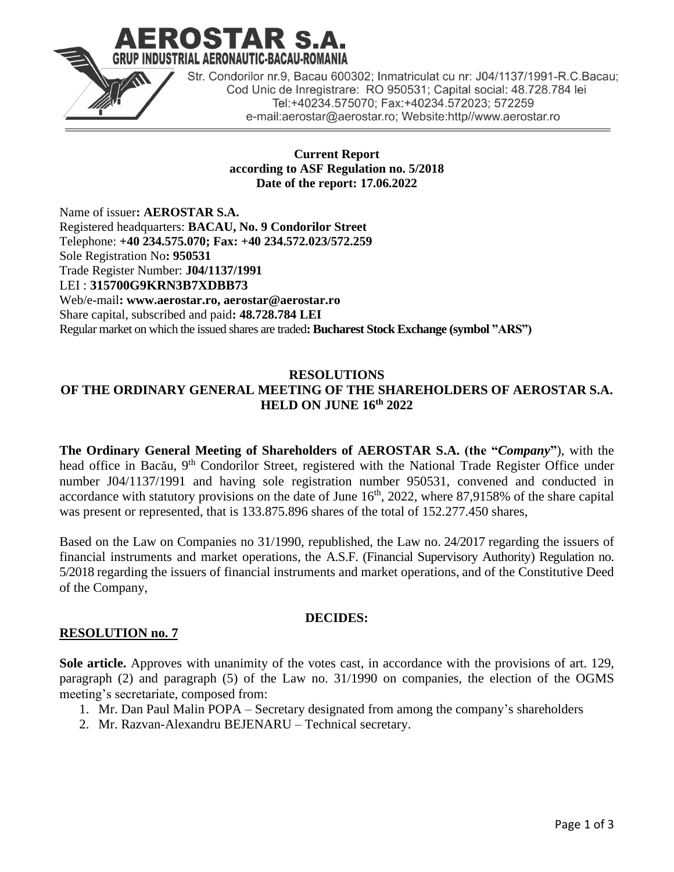

**Current Report according to ASF Regulation no. 5/2018 Date of the report: 17.06.2022**

Name of issuer**: AEROSTAR S.A.** Registered headquarters: **BACAU, No. 9 Condorilor Street** Telephone: **+40 234.575.070; Fax: +40 234.572.023/572.259** Sole Registration No**: 950531** Trade Register Number: **J04/1137/1991** LEI : **315700G9KRN3B7XDBB73** Web/e-mail**: www.aerostar.ro, aerostar@aerostar.ro** Share capital, subscribed and paid**: 48.728.784 LEI** Regular market on which the issued shares are traded**: Bucharest Stock Exchange (symbol "ARS")**

### **RESOLUTIONS OF THE ORDINARY GENERAL MEETING OF THE SHAREHOLDERS OF AEROSTAR S.A. HELD ON JUNE 16th 2022**

**The Ordinary General Meeting of Shareholders of AEROSTAR S.A. (the "***Company***"**), with the head office in Bacău, 9<sup>th</sup> Condorilor Street, registered with the National Trade Register Office under number J04/1137/1991 and having sole registration number 950531, convened and conducted in accordance with statutory provisions on the date of June  $16<sup>th</sup>$ , 2022, where 87,9158% of the share capital was present or represented, that is 133.875.896 shares of the total of 152.277.450 shares,

Based on the Law on Companies no 31/1990, republished, the Law no. 24/2017 regarding the issuers of financial instruments and market operations, the A.S.F. (Financial Supervisory Authority) Regulation no. 5/2018 regarding the issuers of financial instruments and market operations, and of the Constitutive Deed of the Company,

## **DECIDES:**

## **RESOLUTION no. 7**

**Sole article.** Approves with unanimity of the votes cast, in accordance with the provisions of art. 129, paragraph (2) and paragraph (5) of the Law no. 31/1990 on companies, the election of the OGMS meeting's secretariate, composed from:

- 1. Mr. Dan Paul Malin POPA Secretary designated from among the company's shareholders
- 2. Mr. Razvan-Alexandru BEJENARU Technical secretary.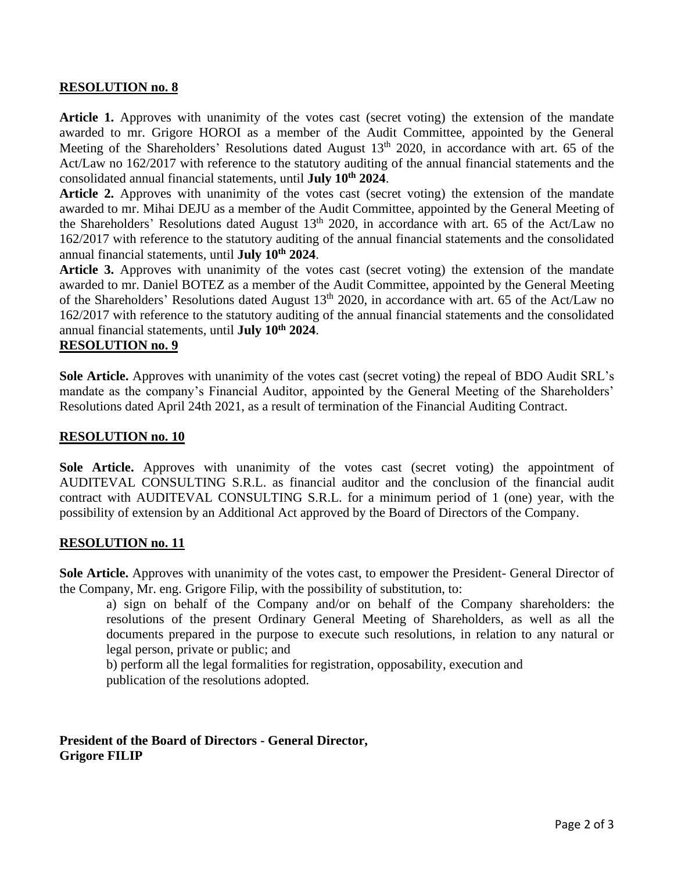#### **RESOLUTION no. 8**

**Article 1.** Approves with unanimity of the votes cast (secret voting) the extension of the mandate awarded to mr. Grigore HOROI as a member of the Audit Committee, appointed by the General Meeting of the Shareholders' Resolutions dated August  $13<sup>th</sup>$  2020, in accordance with art. 65 of the Act/Law no 162/2017 with reference to the statutory auditing of the annual financial statements and the consolidated annual financial statements, until **July 10th 2024**.

**Article 2.** Approves with unanimity of the votes cast (secret voting) the extension of the mandate awarded to mr. Mihai DEJU as a member of the Audit Committee, appointed by the General Meeting of the Shareholders' Resolutions dated August  $13<sup>th</sup>$  2020, in accordance with art. 65 of the Act/Law no 162/2017 with reference to the statutory auditing of the annual financial statements and the consolidated annual financial statements, until **July 10th 2024**.

**Article 3.** Approves with unanimity of the votes cast (secret voting) the extension of the mandate awarded to mr. Daniel BOTEZ as a member of the Audit Committee, appointed by the General Meeting of the Shareholders' Resolutions dated August 13<sup>th</sup> 2020, in accordance with art. 65 of the Act/Law no 162/2017 with reference to the statutory auditing of the annual financial statements and the consolidated annual financial statements, until **July 10th 2024**.

## **RESOLUTION no. 9**

**Sole Article.** Approves with unanimity of the votes cast (secret voting) the repeal of BDO Audit SRL's mandate as the company's Financial Auditor, appointed by the General Meeting of the Shareholders' Resolutions dated April 24th 2021, as a result of termination of the Financial Auditing Contract.

#### **RESOLUTION no. 10**

**Sole Article.** Approves with unanimity of the votes cast (secret voting) the appointment of AUDITEVAL CONSULTING S.R.L. as financial auditor and the conclusion of the financial audit contract with AUDITEVAL CONSULTING S.R.L. for a minimum period of 1 (one) year, with the possibility of extension by an Additional Act approved by the Board of Directors of the Company.

#### **RESOLUTION no. 11**

**Sole Article.** Approves with unanimity of the votes cast, to empower the President- General Director of the Company, Mr. eng. Grigore Filip, with the possibility of substitution, to:

a) sign on behalf of the Company and/or on behalf of the Company shareholders: the resolutions of the present Ordinary General Meeting of Shareholders, as well as all the documents prepared in the purpose to execute such resolutions, in relation to any natural or legal person, private or public; and

b) perform all the legal formalities for registration, opposability, execution and publication of the resolutions adopted.

#### **President of the Board of Directors - General Director, Grigore FILIP**